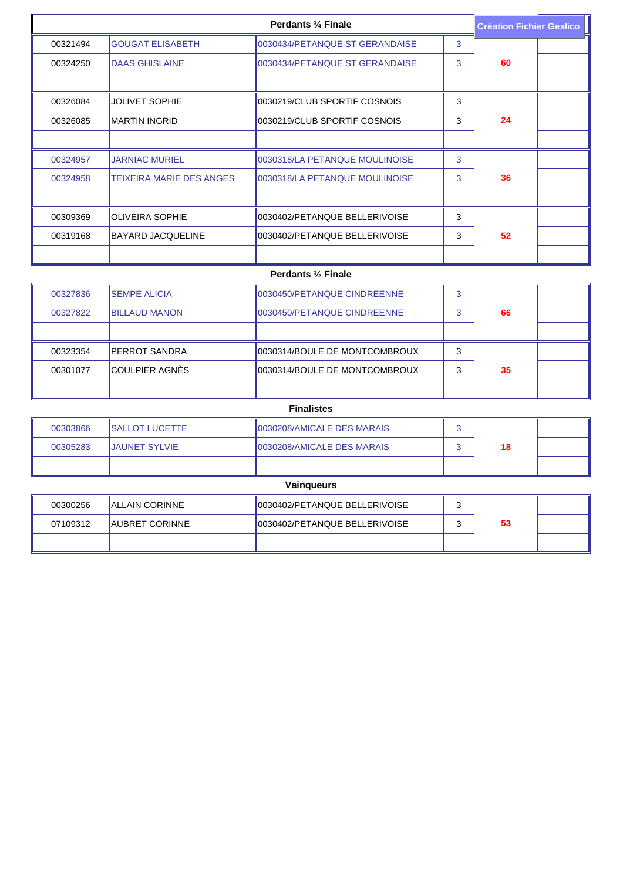| Perdants 1/4 Finale |                                 |                                | <b>Création Fichier Geslico</b> |    |  |
|---------------------|---------------------------------|--------------------------------|---------------------------------|----|--|
| 00321494            | <b>GOUGAT ELISABETH</b>         | 0030434/PETANQUE ST GERANDAISE | 3                               |    |  |
| 00324250            | <b>DAAS GHISLAINE</b>           | 0030434/PETANQUE ST GERANDAISE | 3                               | 60 |  |
|                     |                                 |                                |                                 |    |  |
| 00326084            | <b>JOLIVET SOPHIE</b>           | 0030219/CLUB SPORTIF COSNOIS   | 3                               |    |  |
| 00326085            | IMARTIN INGRID                  | 0030219/CLUB SPORTIF COSNOIS   | 3                               | 24 |  |
|                     |                                 |                                |                                 |    |  |
| 00324957            | <b>JARNIAC MURIEL</b>           | 0030318/LA PETANQUE MOULINOISE | 3                               |    |  |
| 00324958            | <b>TEIXEIRA MARIE DES ANGES</b> | 0030318/LA PETANQUE MOULINOISE | 3                               | 36 |  |
|                     |                                 |                                |                                 |    |  |
| 00309369            | <b>OLIVEIRA SOPHIE</b>          | 0030402/PETANQUE BELLERIVOISE  | 3                               |    |  |
| 00319168            | <b>BAYARD JACQUELINE</b>        | 0030402/PETANQUE BELLERIVOISE  | 3                               | 52 |  |
|                     |                                 |                                |                                 |    |  |

## **Perdants ½ Finale**

| 00327836 | <b>ISEMPE ALICIA</b>  | 0030450/PETANQUE CINDREENNE   |   |    |  |
|----------|-----------------------|-------------------------------|---|----|--|
| 00327822 | IBILLAUD MANON        | 0030450/PETANQUE CINDREENNE   |   | 66 |  |
|          |                       |                               |   |    |  |
| 00323354 | <b>PERROT SANDRA</b>  | 0030314/BOULE DE MONTCOMBROUX | ົ |    |  |
| 00301077 | <b>COULPIER AGNÈS</b> | 0030314/BOULE DE MONTCOMBROUX |   | 35 |  |
|          |                       |                               |   |    |  |

| <b>Finalistes</b> |  |
|-------------------|--|
|-------------------|--|

| 00303866 | <b>ISALLOT LUCETTE</b> | 10030208/AMICALE DES MARAIS |    |  |
|----------|------------------------|-----------------------------|----|--|
| 00305283 | <b>IJAUNET SYLVIE</b>  | 10030208/AMICALE DES MARAIS | 18 |  |
|          |                        |                             |    |  |

| Vainqueurs |                        |                                |  |    |  |  |
|------------|------------------------|--------------------------------|--|----|--|--|
| 00300256   | <b>IALLAIN CORINNE</b> | 0030402/PETANQUE BELLERIVOISE  |  |    |  |  |
| 07109312   | <b>AUBRET CORINNE</b>  | 10030402/PETANQUE BELLERIVOISE |  | 53 |  |  |
|            |                        |                                |  |    |  |  |